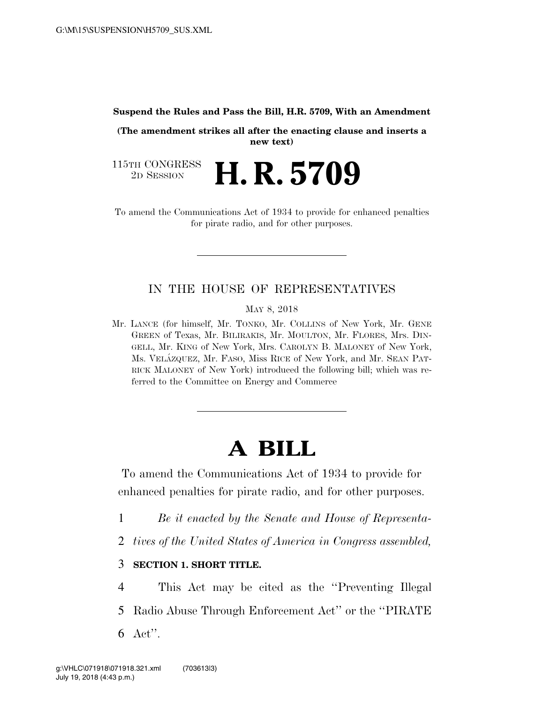**Suspend the Rules and Pass the Bill, H.R. 5709, With an Amendment** 

**(The amendment strikes all after the enacting clause and inserts a new text)** 

115TH CONGRESS<br>2D SESSION 2D SESSION **H. R. 5709** 

To amend the Communications Act of 1934 to provide for enhanced penalties for pirate radio, and for other purposes.

## IN THE HOUSE OF REPRESENTATIVES

MAY 8, 2018

Mr. LANCE (for himself, Mr. TONKO, Mr. COLLINS of New York, Mr. GENE GREEN of Texas, Mr. BILIRAKIS, Mr. MOULTON, Mr. FLORES, Mrs. DIN-GELL, Mr. KING of New York, Mrs. CAROLYN B. MALONEY of New York, Ms. VELA´ZQUEZ, Mr. FASO, Miss RICE of New York, and Mr. SEAN PAT-RICK MALONEY of New York) introduced the following bill; which was referred to the Committee on Energy and Commerce

# **A BILL**

To amend the Communications Act of 1934 to provide for enhanced penalties for pirate radio, and for other purposes.

- 1 *Be it enacted by the Senate and House of Representa-*
- 2 *tives of the United States of America in Congress assembled,*

## 3 **SECTION 1. SHORT TITLE.**

4 This Act may be cited as the ''Preventing Illegal 5 Radio Abuse Through Enforcement Act'' or the ''PIRATE 6 Act''.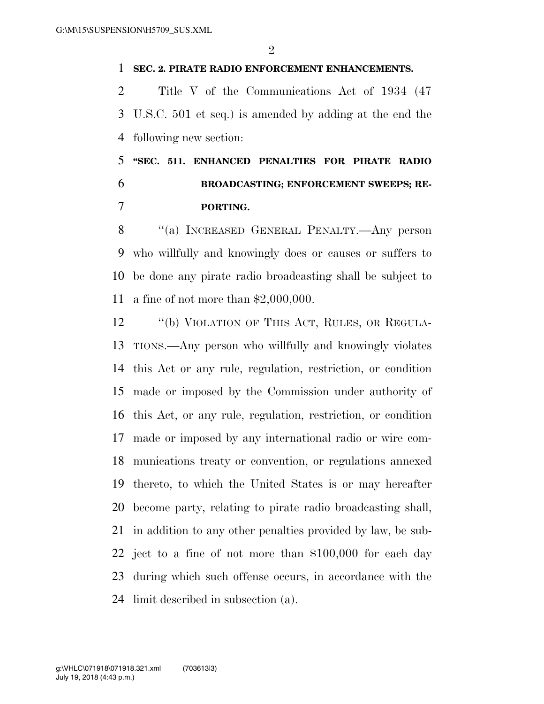#### **SEC. 2. PIRATE RADIO ENFORCEMENT ENHANCEMENTS.**

 Title V of the Communications Act of 1934 (47 U.S.C. 501 et seq.) is amended by adding at the end the following new section:

# **''SEC. 511. ENHANCED PENALTIES FOR PIRATE RADIO BROADCASTING; ENFORCEMENT SWEEPS; RE-PORTING.**

8 "(a) INCREASED GENERAL PENALTY.—Any person who willfully and knowingly does or causes or suffers to be done any pirate radio broadcasting shall be subject to a fine of not more than \$2,000,000.

12 "(b) VIOLATION OF THIS ACT, RULES, OR REGULA- TIONS.—Any person who willfully and knowingly violates this Act or any rule, regulation, restriction, or condition made or imposed by the Commission under authority of this Act, or any rule, regulation, restriction, or condition made or imposed by any international radio or wire com- munications treaty or convention, or regulations annexed thereto, to which the United States is or may hereafter become party, relating to pirate radio broadcasting shall, in addition to any other penalties provided by law, be sub- ject to a fine of not more than \$100,000 for each day during which such offense occurs, in accordance with the limit described in subsection (a).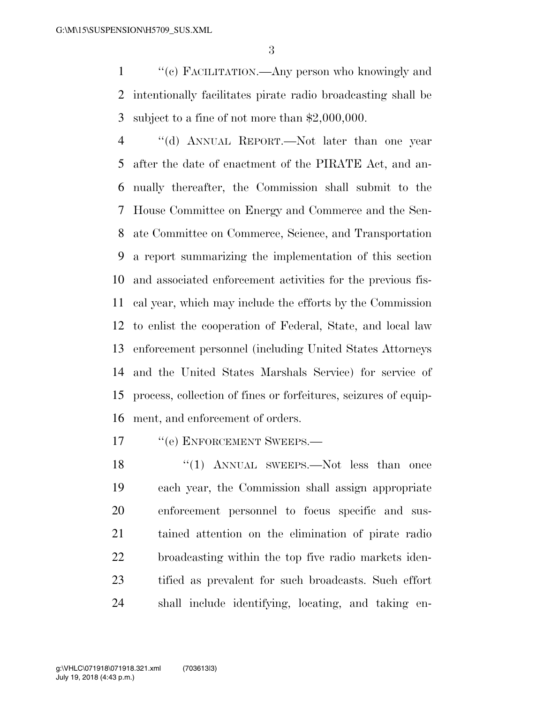''(c) FACILITATION.—Any person who knowingly and intentionally facilitates pirate radio broadcasting shall be subject to a fine of not more than \$2,000,000.

 ''(d) ANNUAL REPORT.—Not later than one year after the date of enactment of the PIRATE Act, and an- nually thereafter, the Commission shall submit to the House Committee on Energy and Commerce and the Sen- ate Committee on Commerce, Science, and Transportation a report summarizing the implementation of this section and associated enforcement activities for the previous fis- cal year, which may include the efforts by the Commission to enlist the cooperation of Federal, State, and local law enforcement personnel (including United States Attorneys and the United States Marshals Service) for service of process, collection of fines or forfeitures, seizures of equip-ment, and enforcement of orders.

17 <sup>''</sup>(e) ENFORCEMENT SWEEPS.—

18 "(1) ANNUAL SWEEPS.—Not less than once each year, the Commission shall assign appropriate enforcement personnel to focus specific and sus- tained attention on the elimination of pirate radio broadcasting within the top five radio markets iden- tified as prevalent for such broadcasts. Such effort shall include identifying, locating, and taking en-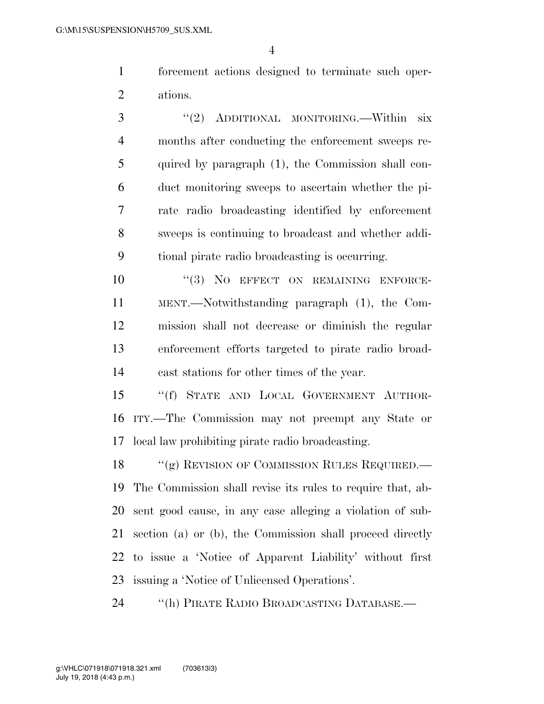forcement actions designed to terminate such oper-ations.

 ''(2) ADDITIONAL MONITORING.—Within six months after conducting the enforcement sweeps re- quired by paragraph (1), the Commission shall con- duct monitoring sweeps to ascertain whether the pi- rate radio broadcasting identified by enforcement sweeps is continuing to broadcast and whether addi-tional pirate radio broadcasting is occurring.

 $(3)$  No EFFECT ON REMAINING ENFORCE- MENT.—Notwithstanding paragraph (1), the Com- mission shall not decrease or diminish the regular enforcement efforts targeted to pirate radio broad-cast stations for other times of the year.

 ''(f) STATE AND LOCAL GOVERNMENT AUTHOR- ITY.—The Commission may not preempt any State or local law prohibiting pirate radio broadcasting.

18 "(g) REVISION OF COMMISSION RULES REQUIRED. The Commission shall revise its rules to require that, ab- sent good cause, in any case alleging a violation of sub- section (a) or (b), the Commission shall proceed directly to issue a 'Notice of Apparent Liability' without first issuing a 'Notice of Unlicensed Operations'.

''(h) PIRATE RADIO BROADCASTING DATABASE.—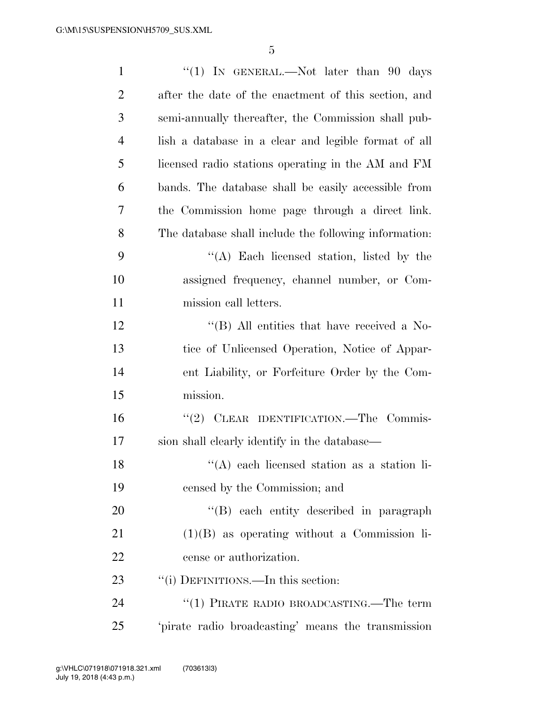| $\mathbf{1}$   | "(1) IN GENERAL.—Not later than $90$ days                      |
|----------------|----------------------------------------------------------------|
| $\overline{2}$ | after the date of the enactment of this section, and           |
| 3              | semi-annually thereafter, the Commission shall pub-            |
| $\overline{4}$ | lish a database in a clear and legible format of all           |
| 5              | licensed radio stations operating in the AM and FM             |
| 6              | bands. The database shall be easily accessible from            |
| 7              | the Commission home page through a direct link.                |
| 8              | The database shall include the following information:          |
| 9              | $\lq\lq$ . Each licensed station, listed by the                |
| 10             | assigned frequency, channel number, or Com-                    |
| 11             | mission call letters.                                          |
| 12             | $\rm ^{\prime\prime}(B)$ All entities that have received a No- |
| 13             | tice of Unlicensed Operation, Notice of Appar-                 |
| 14             | ent Liability, or Forfeiture Order by the Com-                 |
| 15             | mission.                                                       |
| 16             | "(2) CLEAR IDENTIFICATION.—The Commis-                         |
| 17             | sion shall clearly identify in the database—                   |
| 18             | $\lq\lq$ each licensed station as a station li-                |
| 19             | censed by the Commission; and                                  |
| 20             | "(B) each entity described in paragraph                        |
| 21             | $(1)(B)$ as operating without a Commission li-                 |
| 22             | cense or authorization.                                        |
| 23             | "(i) DEFINITIONS.—In this section:                             |
| 24             | $``(1)$ PIRATE RADIO BROADCASTING.—The term                    |
| 25             | 'pirate radio broadcasting' means the transmission             |